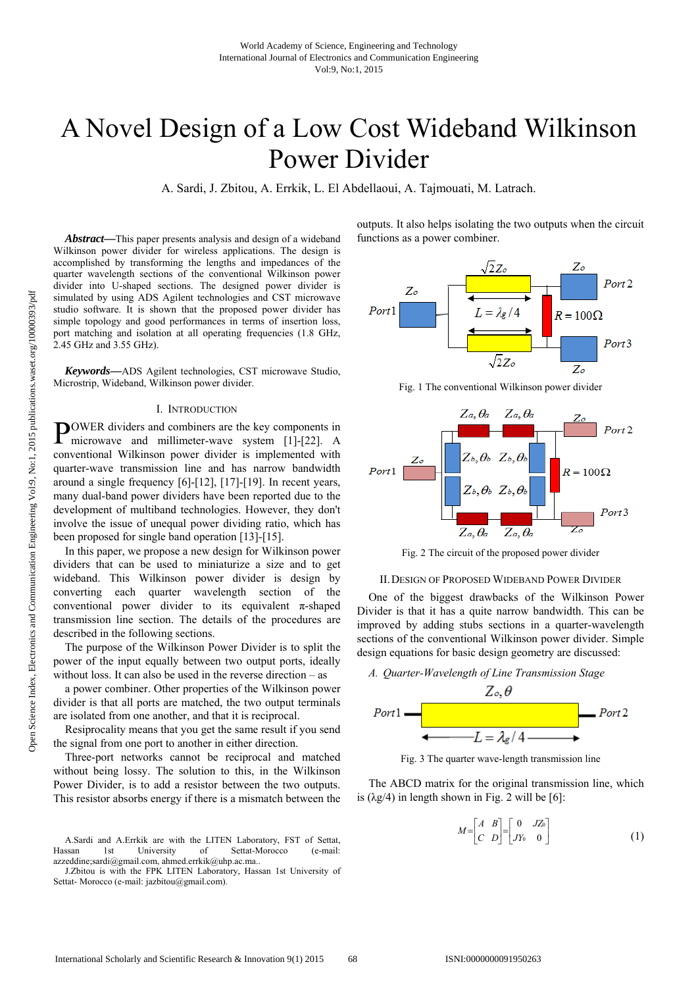# A Novel Design of a Low Cost Wideband Wilkinson Power Divider

A. Sardi, J. Zbitou, A. Errkik, L. El Abdellaoui, A. Tajmouati, M. Latrach.

*Abstract***—**This paper presents analysis and design of a wideband Wilkinson power divider for wireless applications. The design is accomplished by transforming the lengths and impedances of the quarter wavelength sections of the conventional Wilkinson power divider into U-shaped sections. The designed power divider is simulated by using ADS Agilent technologies and CST microwave studio software. It is shown that the proposed power divider has simple topology and good performances in terms of insertion loss, port matching and isolation at all operating frequencies (1.8 GHz, 2.45 GHz and 3.55 GHz).

*Keywords***—**ADS Agilent technologies, CST microwave Studio, Microstrip, Wideband, Wilkinson power divider.

#### I. INTRODUCTION

OWER dividers and combiners are the key components in **POWER** dividers and combiners are the key components in microwave and millimeter-wave system [1]-[22]. A conventional Wilkinson power divider is implemented with quarter-wave transmission line and has narrow bandwidth around a single frequency [6]-[12], [17]-[19]. In recent years, many dual-band power dividers have been reported due to the development of multiband technologies. However, they don't involve the issue of unequal power dividing ratio, which has been proposed for single band operation [13]-[15].

In this paper, we propose a new design for Wilkinson power dividers that can be used to miniaturize a size and to get wideband. This Wilkinson power divider is design by converting each quarter wavelength section of the conventional power divider to its equivalent  $\pi$ -shaped transmission line section. The details of the procedures are described in the following sections.

The purpose of the Wilkinson Power Divider is to split the power of the input equally between two output ports, ideally without loss. It can also be used in the reverse direction – as

a power combiner. Other properties of the Wilkinson power divider is that all ports are matched, the two output terminals are isolated from one another, and that it is reciprocal.

Resiprocality means that you get the same result if you send the signal from one port to another in either direction.

Three-port networks cannot be reciprocal and matched without being lossy. The solution to this, in the Wilkinson Power Divider, is to add a resistor between the two outputs. This resistor absorbs energy if there is a mismatch between the

J.Zbitou is with the FPK LITEN Laboratory, Hassan 1st University of Settat- Morocco (e-mail: jazbitou@gmail.com).

outputs. It also helps isolating the two outputs when the circuit functions as a power combiner.



Fig. 1 The conventional Wilkinson power divider



Fig. 2 The circuit of the proposed power divider



One of the biggest drawbacks of the Wilkinson Power Divider is that it has a quite narrow bandwidth. This can be improved by adding stubs sections in a quarter-wavelength sections of the conventional Wilkinson power divider. Simple design equations for basic design geometry are discussed:

# *A. Quarter-Wavelength of Line Transmission Stage*



Fig. 3 The quarter wave-length transmission line

The ABCD matrix for the original transmission line, which is  $(\lambda g/4)$  in length shown in Fig. 2 will be [6]:

$$
M = \begin{bmatrix} A & B \\ C & D \end{bmatrix} = \begin{bmatrix} 0 & JZ_0 \\ JY_0 & 0 \end{bmatrix} \tag{1}
$$

A.Sardi and A.Errkik are with the LITEN Laboratory, FST of Settat, Hassan 1st University of Settat-Morocco (e-mail: azzeddine;sardi@gmail.com, ahmed.errkik@uhp.ac.ma..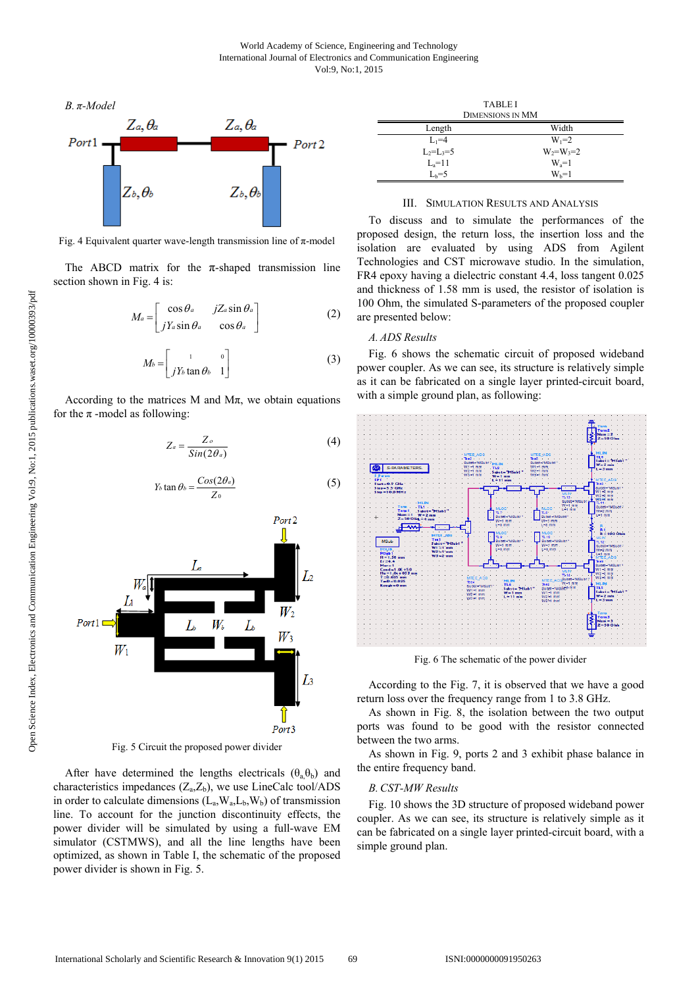

Fig. 4 Equivalent quarter wave-length transmission line of  $\pi$ -model

The ABCD matrix for the  $\pi$ -shaped transmission line section shown in Fig. 4 is:

$$
M_a = \begin{bmatrix} \cos \theta_a & jZ_a \sin \theta_a \\ jY_a \sin \theta_a & \cos \theta_a \end{bmatrix}
$$
 (2)

$$
M_b = \begin{bmatrix} 1 & 0 \\ jY_b \tan \theta_b & 1 \end{bmatrix}
$$
 (3)

According to the matrices M and  $M\pi$ , we obtain equations for the  $\pi$ -model as following:

$$
Z_a = \frac{Z_o}{\sin(2\theta_a)}\tag{4}
$$

$$
Y_b \tan \theta_b = \frac{Cos(2\theta_a)}{Z_0} \tag{5}
$$

Port<sub>2</sub>



Fig. 5 Circuit the proposed power divider

After have determined the lengths electricals  $(\theta_a, \theta_b)$  and characteristics impedances  $(Z_aZ_b)$ , we use LineCalc tool/ADS in order to calculate dimensions  $(L_a, W_a, L_b, W_b)$  of transmission line. To account for the junction discontinuity effects, the power divider will be simulated by using a full-wave EM simulator (CSTMWS), and all the line lengths have been optimized, as shown in Table I, the schematic of the proposed power divider is shown in Fig. 5.

| <b>TABLE I</b><br><b>DIMENSIONS IN MM</b> |                 |
|-------------------------------------------|-----------------|
| Length                                    | Width           |
| $L_1=4$                                   | $W_1 = 2$       |
| $L_2=L_3=5$                               | $W_2 = W_3 = 2$ |
| $La=11$                                   | $W_a=1$         |
| $L_b = 5$                                 | $W_b=1$         |

## III. SIMULATION RESULTS AND ANALYSIS

To discuss and to simulate the performances of the proposed design, the return loss, the insertion loss and the isolation are evaluated by using ADS from Agilent Technologies and CST microwave studio. In the simulation, FR4 epoxy having a dielectric constant 4.4, loss tangent 0.025 and thickness of 1.58 mm is used, the resistor of isolation is 100 Ohm, the simulated S-parameters of the proposed coupler are presented below:

## *A. ADS Results*

Fig. 6 shows the schematic circuit of proposed wideband power coupler. As we can see, its structure is relatively simple as it can be fabricated on a single layer printed-circuit board, with a simple ground plan, as following:



Fig. 6 The schematic of the power divider

According to the Fig. 7, it is observed that we have a good return loss over the frequency range from 1 to 3.8 GHz.

As shown in Fig. 8, the isolation between the two output ports was found to be good with the resistor connected between the two arms.

As shown in Fig. 9, ports 2 and 3 exhibit phase balance in the entire frequency band.

## *B.CST-MW Results*

Fig. 10 shows the 3D structure of proposed wideband power coupler. As we can see, its structure is relatively simple as it can be fabricated on a single layer printed-circuit board, with a simple ground plan.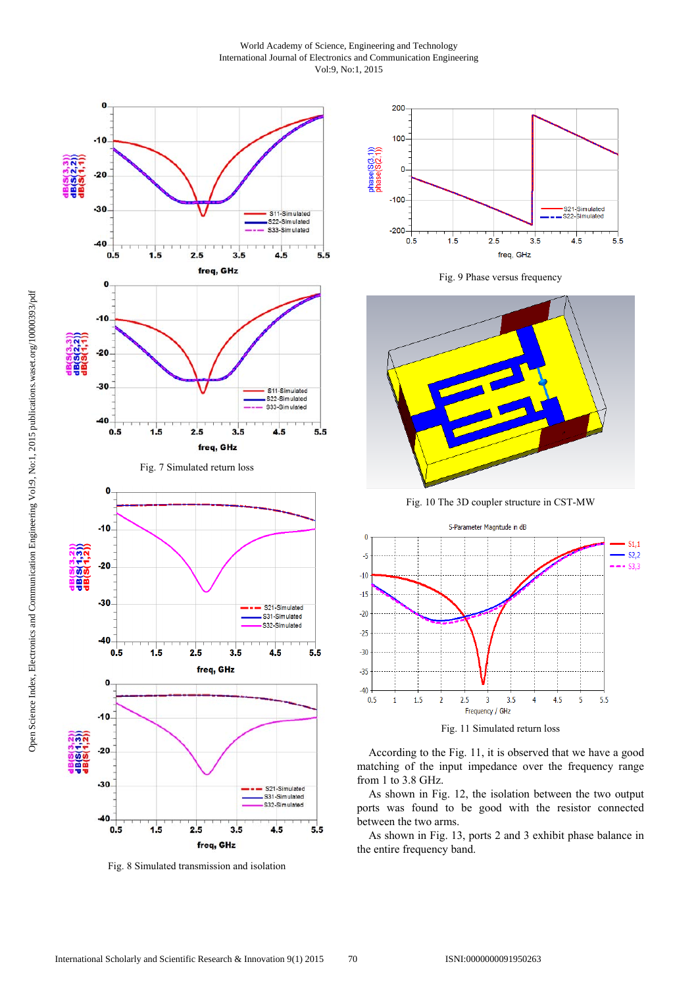## World Academy of Science, Engineering and Technology International Journal of Electronics and Communication Engineering Vol:9, No:1, 2015



Fig. 8 Simulated transmission and isolation



Fig. 9 Phase versus frequency



Fig. 10 The 3D coupler structure in CST-MW



Fig. 11 Simulated return loss

According to the Fig. 11, it is observed that we have a good matching of the input impedance over the frequency range from 1 to 3.8 GHz.

As shown in Fig. 12, the isolation between the two output ports was found to be good with the resistor connected between the two arms.

As shown in Fig. 13, ports 2 and 3 exhibit phase balance in the entire frequency band.